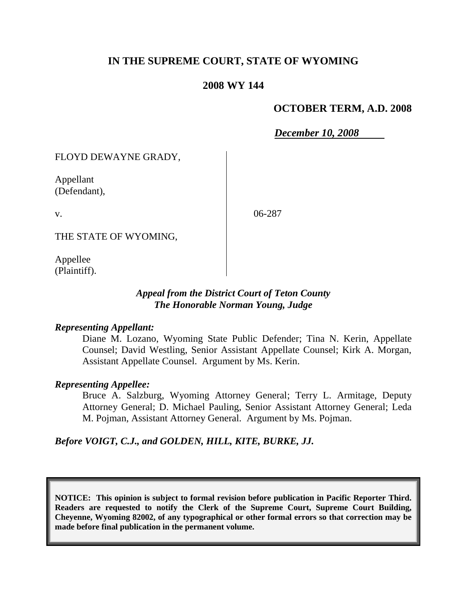# **IN THE SUPREME COURT, STATE OF WYOMING**

### **2008 WY 144**

### **OCTOBER TERM, A.D. 2008**

*December 10, 2008*

FLOYD DEWAYNE GRADY,

Appellant (Defendant),

v.

06-287

THE STATE OF WYOMING,

Appellee (Plaintiff).

#### *Appeal from the District Court of Teton County The Honorable Norman Young, Judge*

#### *Representing Appellant:*

Diane M. Lozano, Wyoming State Public Defender; Tina N. Kerin, Appellate Counsel; David Westling, Senior Assistant Appellate Counsel; Kirk A. Morgan, Assistant Appellate Counsel. Argument by Ms. Kerin.

#### *Representing Appellee:*

Bruce A. Salzburg, Wyoming Attorney General; Terry L. Armitage, Deputy Attorney General; D. Michael Pauling, Senior Assistant Attorney General; Leda M. Pojman, Assistant Attorney General. Argument by Ms. Pojman.

## *Before VOIGT, C.J., and GOLDEN, HILL, KITE, BURKE, JJ.*

**NOTICE: This opinion is subject to formal revision before publication in Pacific Reporter Third. Readers are requested to notify the Clerk of the Supreme Court, Supreme Court Building, Cheyenne, Wyoming 82002, of any typographical or other formal errors so that correction may be made before final publication in the permanent volume.**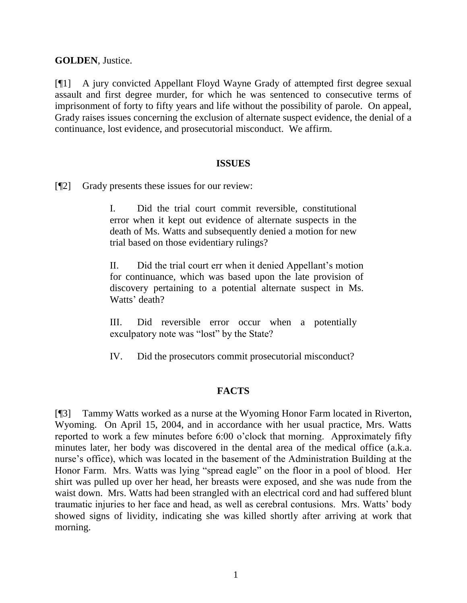**GOLDEN**, Justice.

[¶1] A jury convicted Appellant Floyd Wayne Grady of attempted first degree sexual assault and first degree murder, for which he was sentenced to consecutive terms of imprisonment of forty to fifty years and life without the possibility of parole. On appeal, Grady raises issues concerning the exclusion of alternate suspect evidence, the denial of a continuance, lost evidence, and prosecutorial misconduct. We affirm.

#### **ISSUES**

[¶2] Grady presents these issues for our review:

I. Did the trial court commit reversible, constitutional error when it kept out evidence of alternate suspects in the death of Ms. Watts and subsequently denied a motion for new trial based on those evidentiary rulings?

II. Did the trial court err when it denied Appellant's motion for continuance, which was based upon the late provision of discovery pertaining to a potential alternate suspect in Ms. Watts' death?

III. Did reversible error occur when a potentially exculpatory note was "lost" by the State?

IV. Did the prosecutors commit prosecutorial misconduct?

## **FACTS**

[¶3] Tammy Watts worked as a nurse at the Wyoming Honor Farm located in Riverton, Wyoming. On April 15, 2004, and in accordance with her usual practice, Mrs. Watts reported to work a few minutes before 6:00 o'clock that morning. Approximately fifty minutes later, her body was discovered in the dental area of the medical office (a.k.a. nurse's office), which was located in the basement of the Administration Building at the Honor Farm. Mrs. Watts was lying "spread eagle" on the floor in a pool of blood. Her shirt was pulled up over her head, her breasts were exposed, and she was nude from the waist down. Mrs. Watts had been strangled with an electrical cord and had suffered blunt traumatic injuries to her face and head, as well as cerebral contusions. Mrs. Watts' body showed signs of lividity, indicating she was killed shortly after arriving at work that morning.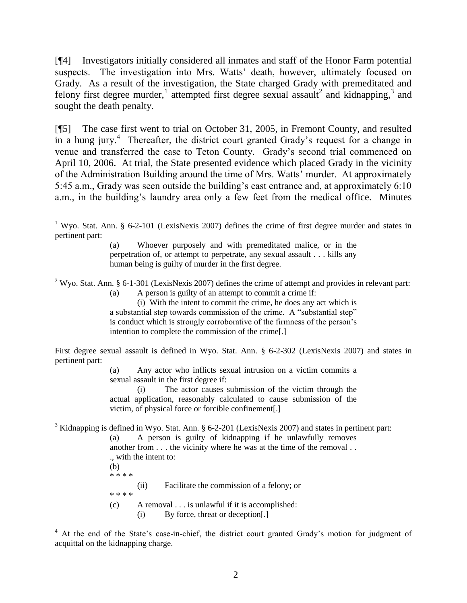[¶4] Investigators initially considered all inmates and staff of the Honor Farm potential suspects. The investigation into Mrs. Watts' death, however, ultimately focused on Grady. As a result of the investigation, the State charged Grady with premeditated and felony first degree murder,<sup>1</sup> attempted first degree sexual assault<sup>2</sup> and kidnapping,<sup>3</sup> and sought the death penalty.

[¶5] The case first went to trial on October 31, 2005, in Fremont County, and resulted in a hung jury.<sup>4</sup> Thereafter, the district court granted Grady's request for a change in venue and transferred the case to Teton County. Grady's second trial commenced on April 10, 2006. At trial, the State presented evidence which placed Grady in the vicinity of the Administration Building around the time of Mrs. Watts' murder. At approximately 5:45 a.m., Grady was seen outside the building's east entrance and, at approximately 6:10 a.m., in the building's laundry area only a few feet from the medical office. Minutes

<sup>2</sup> Wyo. Stat. Ann. § 6-1-301 (LexisNexis 2007) defines the crime of attempt and provides in relevant part:

(a) A person is guilty of an attempt to commit a crime if:

(i) With the intent to commit the crime, he does any act which is a substantial step towards commission of the crime. A "substantial step" is conduct which is strongly corroborative of the firmness of the person's intention to complete the commission of the crime[.]

First degree sexual assault is defined in Wyo. Stat. Ann. § 6-2-302 (LexisNexis 2007) and states in pertinent part:

> (a) Any actor who inflicts sexual intrusion on a victim commits a sexual assault in the first degree if:

> (i) The actor causes submission of the victim through the actual application, reasonably calculated to cause submission of the victim, of physical force or forcible confinement[.]

<sup>3</sup> Kidnapping is defined in Wyo. Stat. Ann. § 6-2-201 (LexisNexis 2007) and states in pertinent part:

| (a)                                                               |                                              | A person is guilty of kidnapping if he unlawfully removes |  |  |  |  |  |
|-------------------------------------------------------------------|----------------------------------------------|-----------------------------------------------------------|--|--|--|--|--|
| another from the vicinity where he was at the time of the removal |                                              |                                                           |  |  |  |  |  |
|                                                                   | ., with the intent to:                       |                                                           |  |  |  |  |  |
| (b)                                                               |                                              |                                                           |  |  |  |  |  |
| * * * *                                                           |                                              |                                                           |  |  |  |  |  |
|                                                                   | (i)                                          | Facilitate the commission of a felony; or                 |  |  |  |  |  |
| * * * *                                                           |                                              |                                                           |  |  |  |  |  |
| (c)                                                               | A removal is unlawful if it is accomplished: |                                                           |  |  |  |  |  |
|                                                                   | (1)                                          | By force, threat or deception[.]                          |  |  |  |  |  |
|                                                                   |                                              |                                                           |  |  |  |  |  |

<sup>4</sup> At the end of the State's case-in-chief, the district court granted Grady's motion for judgment of acquittal on the kidnapping charge.

<sup>&</sup>lt;sup>1</sup> Wyo. Stat. Ann. § 6-2-101 (LexisNexis 2007) defines the crime of first degree murder and states in pertinent part:

<sup>(</sup>a) Whoever purposely and with premeditated malice, or in the perpetration of, or attempt to perpetrate, any sexual assault . . . kills any human being is guilty of murder in the first degree.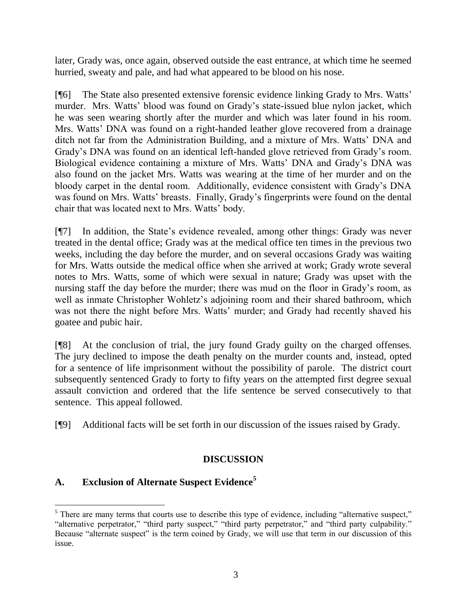later, Grady was, once again, observed outside the east entrance, at which time he seemed hurried, sweaty and pale, and had what appeared to be blood on his nose.

[¶6] The State also presented extensive forensic evidence linking Grady to Mrs. Watts' murder. Mrs. Watts' blood was found on Grady's state-issued blue nylon jacket, which he was seen wearing shortly after the murder and which was later found in his room. Mrs. Watts' DNA was found on a right-handed leather glove recovered from a drainage ditch not far from the Administration Building, and a mixture of Mrs. Watts' DNA and Grady's DNA was found on an identical left-handed glove retrieved from Grady's room. Biological evidence containing a mixture of Mrs. Watts' DNA and Grady's DNA was also found on the jacket Mrs. Watts was wearing at the time of her murder and on the bloody carpet in the dental room. Additionally, evidence consistent with Grady's DNA was found on Mrs. Watts' breasts. Finally, Grady's fingerprints were found on the dental chair that was located next to Mrs. Watts' body.

[¶7] In addition, the State's evidence revealed, among other things: Grady was never treated in the dental office; Grady was at the medical office ten times in the previous two weeks, including the day before the murder, and on several occasions Grady was waiting for Mrs. Watts outside the medical office when she arrived at work; Grady wrote several notes to Mrs. Watts, some of which were sexual in nature; Grady was upset with the nursing staff the day before the murder; there was mud on the floor in Grady's room, as well as inmate Christopher Wohletz's adjoining room and their shared bathroom, which was not there the night before Mrs. Watts' murder; and Grady had recently shaved his goatee and pubic hair.

[¶8] At the conclusion of trial, the jury found Grady guilty on the charged offenses. The jury declined to impose the death penalty on the murder counts and, instead, opted for a sentence of life imprisonment without the possibility of parole. The district court subsequently sentenced Grady to forty to fifty years on the attempted first degree sexual assault conviction and ordered that the life sentence be served consecutively to that sentence. This appeal followed.

[¶9] Additional facts will be set forth in our discussion of the issues raised by Grady.

# **DISCUSSION**

# **A. Exclusion of Alternate Suspect Evidence<sup>5</sup>**

  $<sup>5</sup>$  There are many terms that courts use to describe this type of evidence, including "alternative suspect,"</sup> "alternative perpetrator," "third party suspect," "third party perpetrator," and "third party culpability." Because "alternate suspect" is the term coined by Grady, we will use that term in our discussion of this issue.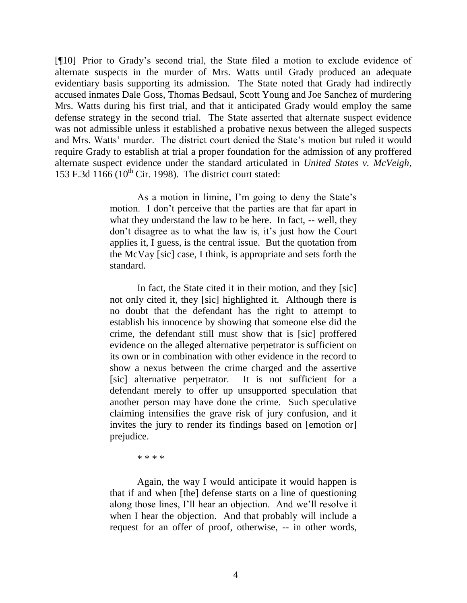[¶10] Prior to Grady's second trial, the State filed a motion to exclude evidence of alternate suspects in the murder of Mrs. Watts until Grady produced an adequate evidentiary basis supporting its admission. The State noted that Grady had indirectly accused inmates Dale Goss, Thomas Bedsaul, Scott Young and Joe Sanchez of murdering Mrs. Watts during his first trial, and that it anticipated Grady would employ the same defense strategy in the second trial. The State asserted that alternate suspect evidence was not admissible unless it established a probative nexus between the alleged suspects and Mrs. Watts' murder. The district court denied the State's motion but ruled it would require Grady to establish at trial a proper foundation for the admission of any proffered alternate suspect evidence under the standard articulated in *United States v. McVeigh*, 153 F.3d  $1166$  ( $10^{th}$  Cir. 1998). The district court stated:

> As a motion in limine, I'm going to deny the State's motion. I don't perceive that the parties are that far apart in what they understand the law to be here. In fact, -- well, they don't disagree as to what the law is, it's just how the Court applies it, I guess, is the central issue. But the quotation from the McVay [sic] case, I think, is appropriate and sets forth the standard.

> In fact, the State cited it in their motion, and they [sic] not only cited it, they [sic] highlighted it. Although there is no doubt that the defendant has the right to attempt to establish his innocence by showing that someone else did the crime, the defendant still must show that is [sic] proffered evidence on the alleged alternative perpetrator is sufficient on its own or in combination with other evidence in the record to show a nexus between the crime charged and the assertive [sic] alternative perpetrator. It is not sufficient for a defendant merely to offer up unsupported speculation that another person may have done the crime. Such speculative claiming intensifies the grave risk of jury confusion, and it invites the jury to render its findings based on [emotion or] prejudice.

> > \* \* \* \*

Again, the way I would anticipate it would happen is that if and when [the] defense starts on a line of questioning along those lines, I'll hear an objection. And we'll resolve it when I hear the objection. And that probably will include a request for an offer of proof, otherwise, -- in other words,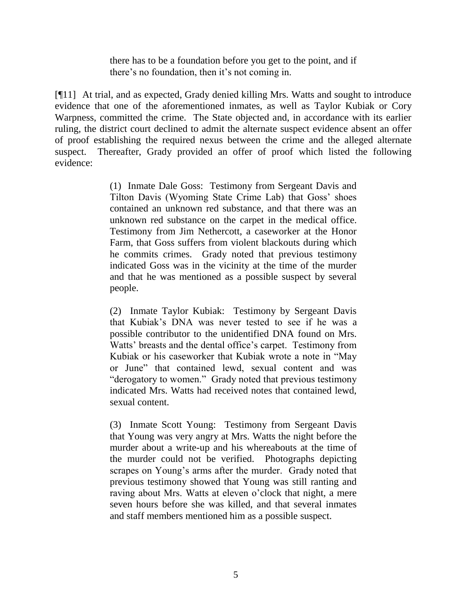there has to be a foundation before you get to the point, and if there's no foundation, then it's not coming in.

[¶11] At trial, and as expected, Grady denied killing Mrs. Watts and sought to introduce evidence that one of the aforementioned inmates, as well as Taylor Kubiak or Cory Warpness, committed the crime. The State objected and, in accordance with its earlier ruling, the district court declined to admit the alternate suspect evidence absent an offer of proof establishing the required nexus between the crime and the alleged alternate suspect. Thereafter, Grady provided an offer of proof which listed the following evidence:

> (1) Inmate Dale Goss: Testimony from Sergeant Davis and Tilton Davis (Wyoming State Crime Lab) that Goss' shoes contained an unknown red substance, and that there was an unknown red substance on the carpet in the medical office. Testimony from Jim Nethercott, a caseworker at the Honor Farm, that Goss suffers from violent blackouts during which he commits crimes. Grady noted that previous testimony indicated Goss was in the vicinity at the time of the murder and that he was mentioned as a possible suspect by several people.

> (2) Inmate Taylor Kubiak: Testimony by Sergeant Davis that Kubiak's DNA was never tested to see if he was a possible contributor to the unidentified DNA found on Mrs. Watts' breasts and the dental office's carpet. Testimony from Kubiak or his caseworker that Kubiak wrote a note in "May or June" that contained lewd, sexual content and was "derogatory to women." Grady noted that previous testimony indicated Mrs. Watts had received notes that contained lewd, sexual content.

> (3) Inmate Scott Young: Testimony from Sergeant Davis that Young was very angry at Mrs. Watts the night before the murder about a write-up and his whereabouts at the time of the murder could not be verified. Photographs depicting scrapes on Young's arms after the murder. Grady noted that previous testimony showed that Young was still ranting and raving about Mrs. Watts at eleven o'clock that night, a mere seven hours before she was killed, and that several inmates and staff members mentioned him as a possible suspect.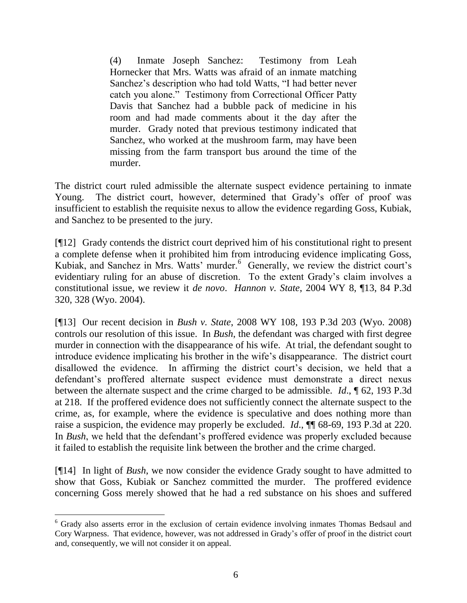(4) Inmate Joseph Sanchez: Testimony from Leah Hornecker that Mrs. Watts was afraid of an inmate matching Sanchez's description who had told Watts, "I had better never catch you alone." Testimony from Correctional Officer Patty Davis that Sanchez had a bubble pack of medicine in his room and had made comments about it the day after the murder. Grady noted that previous testimony indicated that Sanchez, who worked at the mushroom farm, may have been missing from the farm transport bus around the time of the murder.

The district court ruled admissible the alternate suspect evidence pertaining to inmate Young. The district court, however, determined that Grady's offer of proof was insufficient to establish the requisite nexus to allow the evidence regarding Goss, Kubiak, and Sanchez to be presented to the jury.

[¶12] Grady contends the district court deprived him of his constitutional right to present a complete defense when it prohibited him from introducing evidence implicating Goss, Kubiak, and Sanchez in Mrs. Watts' murder.<sup>6</sup> Generally, we review the district court's evidentiary ruling for an abuse of discretion. To the extent Grady's claim involves a constitutional issue, we review it *de novo*. *Hannon v. State*, 2004 WY 8, ¶13, 84 P.3d 320, 328 (Wyo. 2004).

[¶13] Our recent decision in *Bush v. State*, 2008 WY 108, 193 P.3d 203 (Wyo. 2008) controls our resolution of this issue. In *Bush*, the defendant was charged with first degree murder in connection with the disappearance of his wife. At trial, the defendant sought to introduce evidence implicating his brother in the wife's disappearance. The district court disallowed the evidence. In affirming the district court's decision, we held that a defendant's proffered alternate suspect evidence must demonstrate a direct nexus between the alternate suspect and the crime charged to be admissible. *Id*., ¶ 62, 193 P.3d at 218. If the proffered evidence does not sufficiently connect the alternate suspect to the crime, as, for example, where the evidence is speculative and does nothing more than raise a suspicion, the evidence may properly be excluded. *Id*., ¶¶ 68-69, 193 P.3d at 220. In *Bush*, we held that the defendant's proffered evidence was properly excluded because it failed to establish the requisite link between the brother and the crime charged.

[¶14] In light of *Bush*, we now consider the evidence Grady sought to have admitted to show that Goss, Kubiak or Sanchez committed the murder. The proffered evidence concerning Goss merely showed that he had a red substance on his shoes and suffered

<sup>&</sup>lt;sup>6</sup> Grady also asserts error in the exclusion of certain evidence involving inmates Thomas Bedsaul and Cory Warpness. That evidence, however, was not addressed in Grady's offer of proof in the district court and, consequently, we will not consider it on appeal.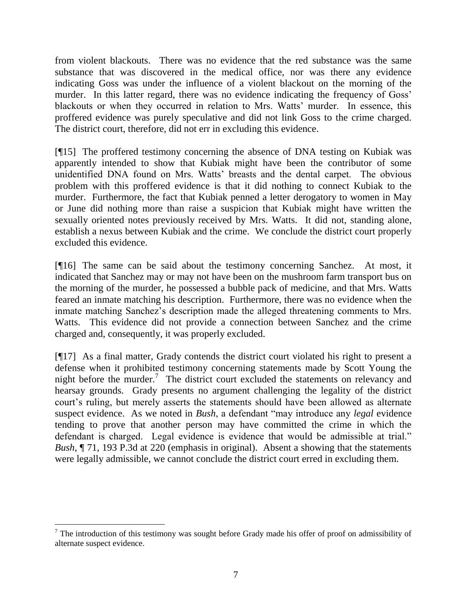from violent blackouts. There was no evidence that the red substance was the same substance that was discovered in the medical office, nor was there any evidence indicating Goss was under the influence of a violent blackout on the morning of the murder. In this latter regard, there was no evidence indicating the frequency of Goss' blackouts or when they occurred in relation to Mrs. Watts' murder. In essence, this proffered evidence was purely speculative and did not link Goss to the crime charged. The district court, therefore, did not err in excluding this evidence.

[¶15] The proffered testimony concerning the absence of DNA testing on Kubiak was apparently intended to show that Kubiak might have been the contributor of some unidentified DNA found on Mrs. Watts' breasts and the dental carpet. The obvious problem with this proffered evidence is that it did nothing to connect Kubiak to the murder. Furthermore, the fact that Kubiak penned a letter derogatory to women in May or June did nothing more than raise a suspicion that Kubiak might have written the sexually oriented notes previously received by Mrs. Watts. It did not, standing alone, establish a nexus between Kubiak and the crime. We conclude the district court properly excluded this evidence.

[¶16] The same can be said about the testimony concerning Sanchez. At most, it indicated that Sanchez may or may not have been on the mushroom farm transport bus on the morning of the murder, he possessed a bubble pack of medicine, and that Mrs. Watts feared an inmate matching his description. Furthermore, there was no evidence when the inmate matching Sanchez's description made the alleged threatening comments to Mrs. Watts. This evidence did not provide a connection between Sanchez and the crime charged and, consequently, it was properly excluded.

[¶17] As a final matter, Grady contends the district court violated his right to present a defense when it prohibited testimony concerning statements made by Scott Young the night before the murder.<sup>7</sup> The district court excluded the statements on relevancy and hearsay grounds. Grady presents no argument challenging the legality of the district court's ruling, but merely asserts the statements should have been allowed as alternate suspect evidence. As we noted in *Bush*, a defendant "may introduce any *legal* evidence tending to prove that another person may have committed the crime in which the defendant is charged. Legal evidence is evidence that would be admissible at trial." *Bush*, ¶ 71, 193 P.3d at 220 (emphasis in original). Absent a showing that the statements were legally admissible, we cannot conclude the district court erred in excluding them.

l

 $<sup>7</sup>$  The introduction of this testimony was sought before Grady made his offer of proof on admissibility of</sup> alternate suspect evidence.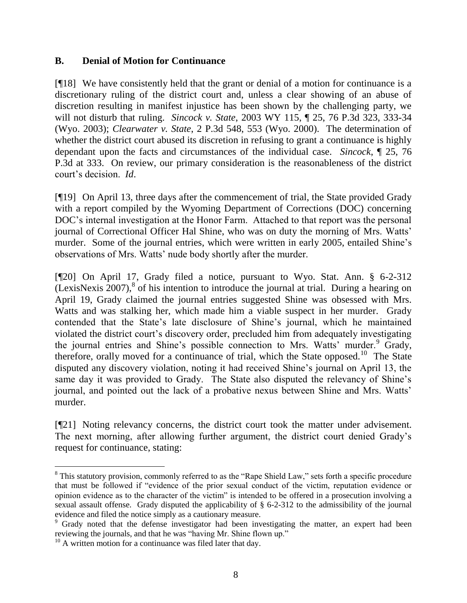### **B. Denial of Motion for Continuance**

[¶18] We have consistently held that the grant or denial of a motion for continuance is a discretionary ruling of the district court and, unless a clear showing of an abuse of discretion resulting in manifest injustice has been shown by the challenging party, we will not disturb that ruling. *Sincock v. State*, 2003 WY 115, ¶ 25, 76 P.3d 323, 333-34 (Wyo. 2003); *Clearwater v. State*, 2 P.3d 548, 553 (Wyo. 2000). The determination of whether the district court abused its discretion in refusing to grant a continuance is highly dependant upon the facts and circumstances of the individual case. *Sincock*, ¶ 25, 76 P.3d at 333. On review, our primary consideration is the reasonableness of the district court's decision. *Id*.

[¶19] On April 13, three days after the commencement of trial, the State provided Grady with a report compiled by the Wyoming Department of Corrections (DOC) concerning DOC's internal investigation at the Honor Farm. Attached to that report was the personal journal of Correctional Officer Hal Shine, who was on duty the morning of Mrs. Watts' murder. Some of the journal entries, which were written in early 2005, entailed Shine's observations of Mrs. Watts' nude body shortly after the murder.

[¶20] On April 17, Grady filed a notice, pursuant to Wyo. Stat. Ann. § 6-2-312  $(LexisNexis 2007)$ ,<sup>8</sup> of his intention to introduce the journal at trial. During a hearing on April 19, Grady claimed the journal entries suggested Shine was obsessed with Mrs. Watts and was stalking her, which made him a viable suspect in her murder. Grady contended that the State's late disclosure of Shine's journal, which he maintained violated the district court's discovery order, precluded him from adequately investigating the journal entries and Shine's possible connection to Mrs. Watts' murder.<sup>9</sup> Grady, therefore, orally moved for a continuance of trial, which the State opposed.<sup>10</sup> The State disputed any discovery violation, noting it had received Shine's journal on April 13, the same day it was provided to Grady. The State also disputed the relevancy of Shine's journal, and pointed out the lack of a probative nexus between Shine and Mrs. Watts' murder.

[¶21] Noting relevancy concerns, the district court took the matter under advisement. The next morning, after allowing further argument, the district court denied Grady's request for continuance, stating:

<sup>&</sup>lt;sup>8</sup> This statutory provision, commonly referred to as the "Rape Shield Law," sets forth a specific procedure that must be followed if "evidence of the prior sexual conduct of the victim, reputation evidence or opinion evidence as to the character of the victim" is intended to be offered in a prosecution involving a sexual assault offense. Grady disputed the applicability of § 6-2-312 to the admissibility of the journal evidence and filed the notice simply as a cautionary measure.

<sup>&</sup>lt;sup>9</sup> Grady noted that the defense investigator had been investigating the matter, an expert had been reviewing the journals, and that he was "having Mr. Shine flown up."

 $10$  A written motion for a continuance was filed later that day.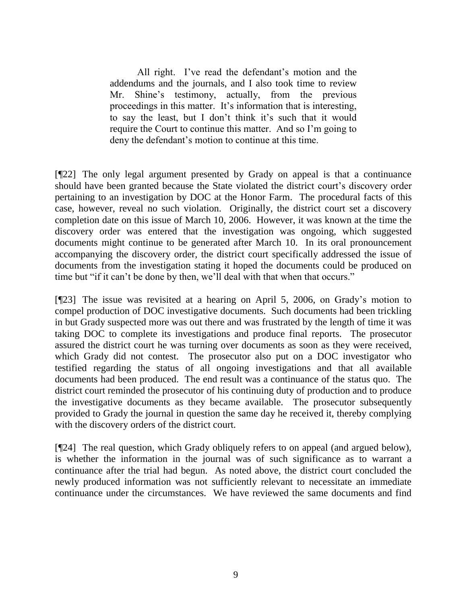All right. I've read the defendant's motion and the addendums and the journals, and I also took time to review Mr. Shine's testimony, actually, from the previous proceedings in this matter. It's information that is interesting, to say the least, but I don't think it's such that it would require the Court to continue this matter. And so I'm going to deny the defendant's motion to continue at this time.

[¶22] The only legal argument presented by Grady on appeal is that a continuance should have been granted because the State violated the district court's discovery order pertaining to an investigation by DOC at the Honor Farm. The procedural facts of this case, however, reveal no such violation. Originally, the district court set a discovery completion date on this issue of March 10, 2006. However, it was known at the time the discovery order was entered that the investigation was ongoing, which suggested documents might continue to be generated after March 10. In its oral pronouncement accompanying the discovery order, the district court specifically addressed the issue of documents from the investigation stating it hoped the documents could be produced on time but "if it can't be done by then, we'll deal with that when that occurs."

[¶23] The issue was revisited at a hearing on April 5, 2006, on Grady's motion to compel production of DOC investigative documents. Such documents had been trickling in but Grady suspected more was out there and was frustrated by the length of time it was taking DOC to complete its investigations and produce final reports. The prosecutor assured the district court he was turning over documents as soon as they were received, which Grady did not contest. The prosecutor also put on a DOC investigator who testified regarding the status of all ongoing investigations and that all available documents had been produced. The end result was a continuance of the status quo. The district court reminded the prosecutor of his continuing duty of production and to produce the investigative documents as they became available. The prosecutor subsequently provided to Grady the journal in question the same day he received it, thereby complying with the discovery orders of the district court.

[¶24] The real question, which Grady obliquely refers to on appeal (and argued below), is whether the information in the journal was of such significance as to warrant a continuance after the trial had begun. As noted above, the district court concluded the newly produced information was not sufficiently relevant to necessitate an immediate continuance under the circumstances. We have reviewed the same documents and find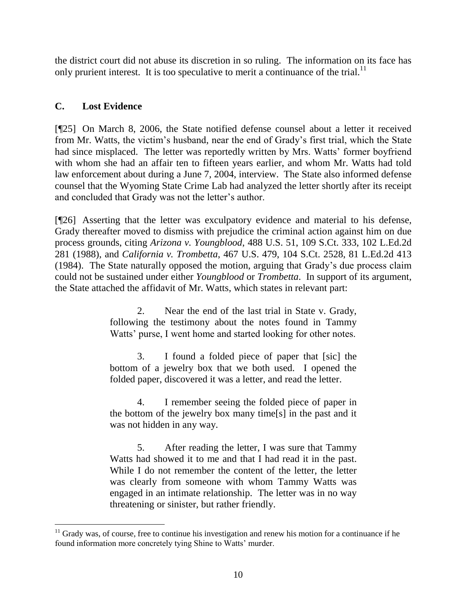the district court did not abuse its discretion in so ruling. The information on its face has only prurient interest. It is too speculative to merit a continuance of the trial. $^{11}$ 

# **C. Lost Evidence**

l

[¶25] On March 8, 2006, the State notified defense counsel about a letter it received from Mr. Watts, the victim's husband, near the end of Grady's first trial, which the State had since misplaced. The letter was reportedly written by Mrs. Watts' former boyfriend with whom she had an affair ten to fifteen years earlier, and whom Mr. Watts had told law enforcement about during a June 7, 2004, interview. The State also informed defense counsel that the Wyoming State Crime Lab had analyzed the letter shortly after its receipt and concluded that Grady was not the letter's author.

[¶26] Asserting that the letter was exculpatory evidence and material to his defense, Grady thereafter moved to dismiss with prejudice the criminal action against him on due process grounds, citing *Arizona v. Youngblood*, 488 U.S. 51, 109 S.Ct. 333, 102 L.Ed.2d 281 (1988), and *California v. Trombetta*, 467 U.S. 479, 104 S.Ct. 2528, 81 L.Ed.2d 413 (1984). The State naturally opposed the motion, arguing that Grady's due process claim could not be sustained under either *Youngblood* or *Trombetta*. In support of its argument, the State attached the affidavit of Mr. Watts, which states in relevant part:

> 2. Near the end of the last trial in State v. Grady, following the testimony about the notes found in Tammy Watts' purse, I went home and started looking for other notes.

> 3. I found a folded piece of paper that [sic] the bottom of a jewelry box that we both used. I opened the folded paper, discovered it was a letter, and read the letter.

> 4. I remember seeing the folded piece of paper in the bottom of the jewelry box many time[s] in the past and it was not hidden in any way.

> 5. After reading the letter, I was sure that Tammy Watts had showed it to me and that I had read it in the past. While I do not remember the content of the letter, the letter was clearly from someone with whom Tammy Watts was engaged in an intimate relationship. The letter was in no way threatening or sinister, but rather friendly.

 $11$  Grady was, of course, free to continue his investigation and renew his motion for a continuance if he found information more concretely tying Shine to Watts' murder.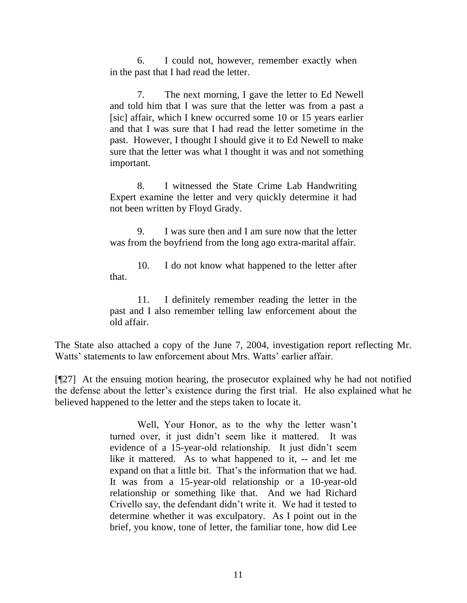6. I could not, however, remember exactly when in the past that I had read the letter.

7. The next morning, I gave the letter to Ed Newell and told him that I was sure that the letter was from a past a [sic] affair, which I knew occurred some 10 or 15 years earlier and that I was sure that I had read the letter sometime in the past. However, I thought I should give it to Ed Newell to make sure that the letter was what I thought it was and not something important.

8. I witnessed the State Crime Lab Handwriting Expert examine the letter and very quickly determine it had not been written by Floyd Grady.

9. I was sure then and I am sure now that the letter was from the boyfriend from the long ago extra-marital affair.

10. I do not know what happened to the letter after that.

11. I definitely remember reading the letter in the past and I also remember telling law enforcement about the old affair.

The State also attached a copy of the June 7, 2004, investigation report reflecting Mr. Watts' statements to law enforcement about Mrs. Watts' earlier affair.

[¶27] At the ensuing motion hearing, the prosecutor explained why he had not notified the defense about the letter's existence during the first trial. He also explained what he believed happened to the letter and the steps taken to locate it.

> Well, Your Honor, as to the why the letter wasn't turned over, it just didn't seem like it mattered. It was evidence of a 15-year-old relationship. It just didn't seem like it mattered. As to what happened to it, -- and let me expand on that a little bit. That's the information that we had. It was from a 15-year-old relationship or a 10-year-old relationship or something like that. And we had Richard Crivello say, the defendant didn't write it. We had it tested to determine whether it was exculpatory. As I point out in the brief, you know, tone of letter, the familiar tone, how did Lee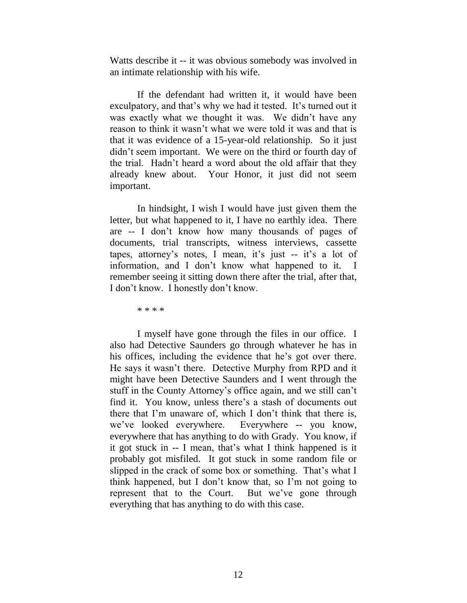Watts describe it -- it was obvious somebody was involved in an intimate relationship with his wife.

If the defendant had written it, it would have been exculpatory, and that's why we had it tested. It's turned out it was exactly what we thought it was. We didn't have any reason to think it wasn't what we were told it was and that is that it was evidence of a 15-year-old relationship. So it just didn't seem important. We were on the third or fourth day of the trial. Hadn't heard a word about the old affair that they already knew about. Your Honor, it just did not seem important.

In hindsight, I wish I would have just given them the letter, but what happened to it, I have no earthly idea. There are -- I don't know how many thousands of pages of documents, trial transcripts, witness interviews, cassette tapes, attorney's notes, I mean, it's just -- it's a lot of information, and I don't know what happened to it. I remember seeing it sitting down there after the trial, after that, I don't know. I honestly don't know.

\* \* \* \*

I myself have gone through the files in our office. I also had Detective Saunders go through whatever he has in his offices, including the evidence that he's got over there. He says it wasn't there. Detective Murphy from RPD and it might have been Detective Saunders and I went through the stuff in the County Attorney's office again, and we still can't find it. You know, unless there's a stash of documents out there that I'm unaware of, which I don't think that there is, we've looked everywhere. Everywhere -- you know, everywhere that has anything to do with Grady. You know, if it got stuck in -- I mean, that's what I think happened is it probably got misfiled. It got stuck in some random file or slipped in the crack of some box or something. That's what I think happened, but I don't know that, so I'm not going to represent that to the Court. But we've gone through everything that has anything to do with this case.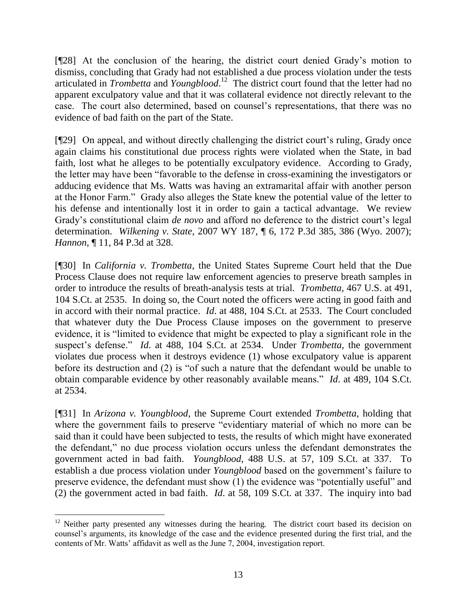[¶28] At the conclusion of the hearing, the district court denied Grady's motion to dismiss, concluding that Grady had not established a due process violation under the tests articulated in *Trombetta* and *Youngblood*. 12 The district court found that the letter had no apparent exculpatory value and that it was collateral evidence not directly relevant to the case. The court also determined, based on counsel's representations, that there was no evidence of bad faith on the part of the State.

[¶29] On appeal, and without directly challenging the district court's ruling, Grady once again claims his constitutional due process rights were violated when the State, in bad faith, lost what he alleges to be potentially exculpatory evidence. According to Grady, the letter may have been "favorable to the defense in cross-examining the investigators or adducing evidence that Ms. Watts was having an extramarital affair with another person at the Honor Farm." Grady also alleges the State knew the potential value of the letter to his defense and intentionally lost it in order to gain a tactical advantage. We review Grady's constitutional claim *de novo* and afford no deference to the district court's legal determination. *Wilkening v. State*, 2007 WY 187, ¶ 6, 172 P.3d 385, 386 (Wyo. 2007); *Hannon*, ¶ 11, 84 P.3d at 328.

[¶30] In *California v. Trombetta*, the United States Supreme Court held that the Due Process Clause does not require law enforcement agencies to preserve breath samples in order to introduce the results of breath-analysis tests at trial. *Trombetta*, 467 U.S. at 491, 104 S.Ct. at 2535. In doing so, the Court noted the officers were acting in good faith and in accord with their normal practice. *Id*. at 488, 104 S.Ct. at 2533. The Court concluded that whatever duty the Due Process Clause imposes on the government to preserve evidence, it is "limited to evidence that might be expected to play a significant role in the suspect's defense." *Id*. at 488, 104 S.Ct. at 2534. Under *Trombetta*, the government violates due process when it destroys evidence (1) whose exculpatory value is apparent before its destruction and (2) is "of such a nature that the defendant would be unable to obtain comparable evidence by other reasonably available means." *Id*. at 489, 104 S.Ct. at 2534.

[¶31] In *Arizona v. Youngblood*, the Supreme Court extended *Trombetta*, holding that where the government fails to preserve "evidentiary material of which no more can be said than it could have been subjected to tests, the results of which might have exonerated the defendant," no due process violation occurs unless the defendant demonstrates the government acted in bad faith. *Youngblood*, 488 U.S. at 57, 109 S.Ct. at 337. To establish a due process violation under *Youngblood* based on the government's failure to preserve evidence, the defendant must show (1) the evidence was "potentially useful" and (2) the government acted in bad faith. *Id*. at 58, 109 S.Ct. at 337. The inquiry into bad

 $12$  Neither party presented any witnesses during the hearing. The district court based its decision on counsel's arguments, its knowledge of the case and the evidence presented during the first trial, and the contents of Mr. Watts' affidavit as well as the June 7, 2004, investigation report.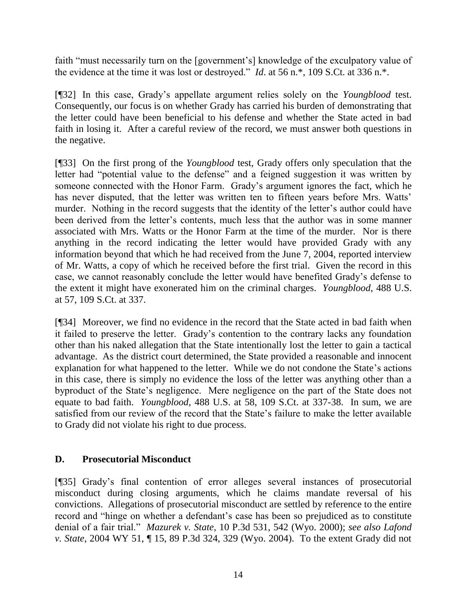faith "must necessarily turn on the [government's] knowledge of the exculpatory value of the evidence at the time it was lost or destroyed." *Id*. at 56 n.\*, 109 S.Ct. at 336 n.\*.

[¶32] In this case, Grady's appellate argument relies solely on the *Youngblood* test. Consequently, our focus is on whether Grady has carried his burden of demonstrating that the letter could have been beneficial to his defense and whether the State acted in bad faith in losing it. After a careful review of the record, we must answer both questions in the negative.

[¶33] On the first prong of the *Youngblood* test, Grady offers only speculation that the letter had "potential value to the defense" and a feigned suggestion it was written by someone connected with the Honor Farm. Grady's argument ignores the fact, which he has never disputed, that the letter was written ten to fifteen years before Mrs. Watts' murder. Nothing in the record suggests that the identity of the letter's author could have been derived from the letter's contents, much less that the author was in some manner associated with Mrs. Watts or the Honor Farm at the time of the murder. Nor is there anything in the record indicating the letter would have provided Grady with any information beyond that which he had received from the June 7, 2004, reported interview of Mr. Watts, a copy of which he received before the first trial. Given the record in this case, we cannot reasonably conclude the letter would have benefited Grady's defense to the extent it might have exonerated him on the criminal charges. *Youngblood*, 488 U.S. at 57, 109 S.Ct. at 337.

[¶34] Moreover, we find no evidence in the record that the State acted in bad faith when it failed to preserve the letter. Grady's contention to the contrary lacks any foundation other than his naked allegation that the State intentionally lost the letter to gain a tactical advantage. As the district court determined, the State provided a reasonable and innocent explanation for what happened to the letter. While we do not condone the State's actions in this case, there is simply no evidence the loss of the letter was anything other than a byproduct of the State's negligence. Mere negligence on the part of the State does not equate to bad faith. *Youngblood*, 488 U.S. at 58, 109 S.Ct. at 337-38. In sum, we are satisfied from our review of the record that the State's failure to make the letter available to Grady did not violate his right to due process.

## **D. Prosecutorial Misconduct**

[¶35] Grady's final contention of error alleges several instances of prosecutorial misconduct during closing arguments, which he claims mandate reversal of his convictions. Allegations of prosecutorial misconduct are settled by reference to the entire record and "hinge on whether a defendant's case has been so prejudiced as to constitute denial of a fair trial." *Mazurek v. State*, 10 P.3d 531, 542 (Wyo. 2000); *see also Lafond v. State*, 2004 WY 51, ¶ 15, 89 P.3d 324, 329 (Wyo. 2004). To the extent Grady did not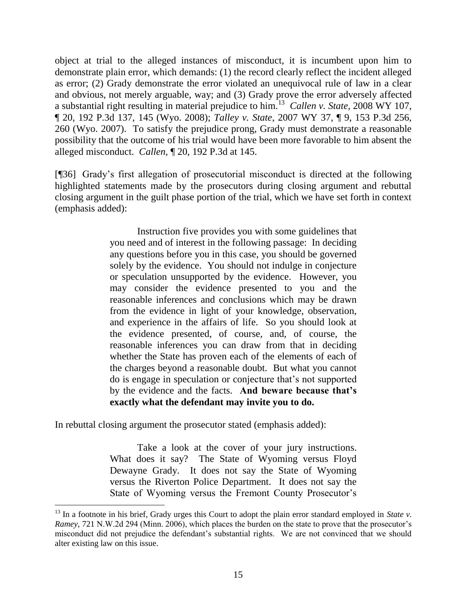object at trial to the alleged instances of misconduct, it is incumbent upon him to demonstrate plain error, which demands: (1) the record clearly reflect the incident alleged as error; (2) Grady demonstrate the error violated an unequivocal rule of law in a clear and obvious, not merely arguable, way; and (3) Grady prove the error adversely affected a substantial right resulting in material prejudice to him.<sup>13</sup> *Callen v. State*, 2008 WY 107, ¶ 20, 192 P.3d 137, 145 (Wyo. 2008); *Talley v. State*, 2007 WY 37, ¶ 9, 153 P.3d 256, 260 (Wyo. 2007). To satisfy the prejudice prong, Grady must demonstrate a reasonable possibility that the outcome of his trial would have been more favorable to him absent the alleged misconduct. *Callen*, ¶ 20, 192 P.3d at 145.

[¶36] Grady's first allegation of prosecutorial misconduct is directed at the following highlighted statements made by the prosecutors during closing argument and rebuttal closing argument in the guilt phase portion of the trial, which we have set forth in context (emphasis added):

> Instruction five provides you with some guidelines that you need and of interest in the following passage: In deciding any questions before you in this case, you should be governed solely by the evidence. You should not indulge in conjecture or speculation unsupported by the evidence. However, you may consider the evidence presented to you and the reasonable inferences and conclusions which may be drawn from the evidence in light of your knowledge, observation, and experience in the affairs of life. So you should look at the evidence presented, of course, and, of course, the reasonable inferences you can draw from that in deciding whether the State has proven each of the elements of each of the charges beyond a reasonable doubt. But what you cannot do is engage in speculation or conjecture that's not supported by the evidence and the facts. **And beware because that's exactly what the defendant may invite you to do.**

In rebuttal closing argument the prosecutor stated (emphasis added):

Take a look at the cover of your jury instructions. What does it say? The State of Wyoming versus Floyd Dewayne Grady. It does not say the State of Wyoming versus the Riverton Police Department. It does not say the State of Wyoming versus the Fremont County Prosecutor's

<sup>&</sup>lt;sup>13</sup> In a footnote in his brief, Grady urges this Court to adopt the plain error standard employed in *State v*. *Ramey*, 721 N.W.2d 294 (Minn. 2006), which places the burden on the state to prove that the prosecutor's misconduct did not prejudice the defendant's substantial rights. We are not convinced that we should alter existing law on this issue.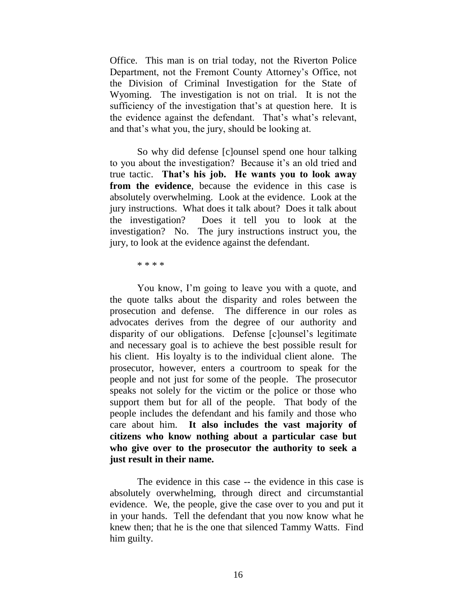Office. This man is on trial today, not the Riverton Police Department, not the Fremont County Attorney's Office, not the Division of Criminal Investigation for the State of Wyoming. The investigation is not on trial. It is not the sufficiency of the investigation that's at question here. It is the evidence against the defendant. That's what's relevant, and that's what you, the jury, should be looking at.

So why did defense [c]ounsel spend one hour talking to you about the investigation? Because it's an old tried and true tactic. **That's his job. He wants you to look away from the evidence**, because the evidence in this case is absolutely overwhelming. Look at the evidence. Look at the jury instructions. What does it talk about? Does it talk about the investigation? Does it tell you to look at the investigation? No. The jury instructions instruct you, the jury, to look at the evidence against the defendant.

\* \* \* \*

You know, I'm going to leave you with a quote, and the quote talks about the disparity and roles between the prosecution and defense. The difference in our roles as advocates derives from the degree of our authority and disparity of our obligations. Defense [c]ounsel's legitimate and necessary goal is to achieve the best possible result for his client. His loyalty is to the individual client alone. The prosecutor, however, enters a courtroom to speak for the people and not just for some of the people. The prosecutor speaks not solely for the victim or the police or those who support them but for all of the people. That body of the people includes the defendant and his family and those who care about him. **It also includes the vast majority of citizens who know nothing about a particular case but who give over to the prosecutor the authority to seek a just result in their name.**

The evidence in this case -- the evidence in this case is absolutely overwhelming, through direct and circumstantial evidence. We, the people, give the case over to you and put it in your hands. Tell the defendant that you now know what he knew then; that he is the one that silenced Tammy Watts. Find him guilty.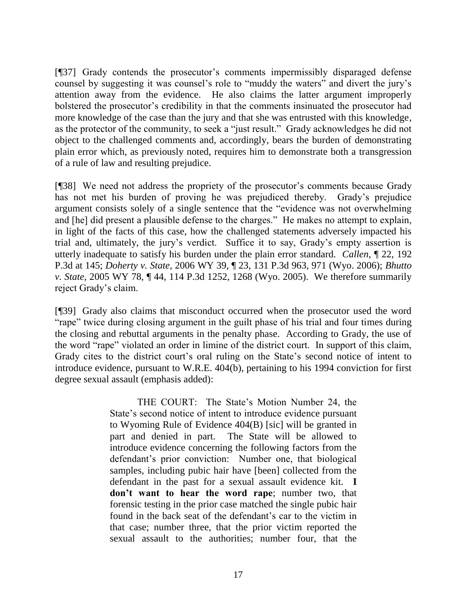[¶37] Grady contends the prosecutor's comments impermissibly disparaged defense counsel by suggesting it was counsel's role to "muddy the waters" and divert the jury's attention away from the evidence. He also claims the latter argument improperly bolstered the prosecutor's credibility in that the comments insinuated the prosecutor had more knowledge of the case than the jury and that she was entrusted with this knowledge, as the protector of the community, to seek a "just result." Grady acknowledges he did not object to the challenged comments and, accordingly, bears the burden of demonstrating plain error which, as previously noted, requires him to demonstrate both a transgression of a rule of law and resulting prejudice.

[¶38] We need not address the propriety of the prosecutor's comments because Grady has not met his burden of proving he was prejudiced thereby. Grady's prejudice argument consists solely of a single sentence that the "evidence was not overwhelming and [he] did present a plausible defense to the charges." He makes no attempt to explain, in light of the facts of this case, how the challenged statements adversely impacted his trial and, ultimately, the jury's verdict. Suffice it to say, Grady's empty assertion is utterly inadequate to satisfy his burden under the plain error standard. *Callen*, ¶ 22, 192 P.3d at 145; *Doherty v. State*, 2006 WY 39, ¶ 23, 131 P.3d 963, 971 (Wyo. 2006); *Bhutto v. State*, 2005 WY 78, ¶ 44, 114 P.3d 1252, 1268 (Wyo. 2005). We therefore summarily reject Grady's claim.

[¶39] Grady also claims that misconduct occurred when the prosecutor used the word "rape" twice during closing argument in the guilt phase of his trial and four times during the closing and rebuttal arguments in the penalty phase. According to Grady, the use of the word "rape" violated an order in limine of the district court. In support of this claim, Grady cites to the district court's oral ruling on the State's second notice of intent to introduce evidence, pursuant to W.R.E. 404(b), pertaining to his 1994 conviction for first degree sexual assault (emphasis added):

> THE COURT: The State's Motion Number 24, the State's second notice of intent to introduce evidence pursuant to Wyoming Rule of Evidence 404(B) [sic] will be granted in part and denied in part. The State will be allowed to introduce evidence concerning the following factors from the defendant's prior conviction: Number one, that biological samples, including pubic hair have [been] collected from the defendant in the past for a sexual assault evidence kit. **I don't want to hear the word rape**; number two, that forensic testing in the prior case matched the single pubic hair found in the back seat of the defendant's car to the victim in that case; number three, that the prior victim reported the sexual assault to the authorities; number four, that the